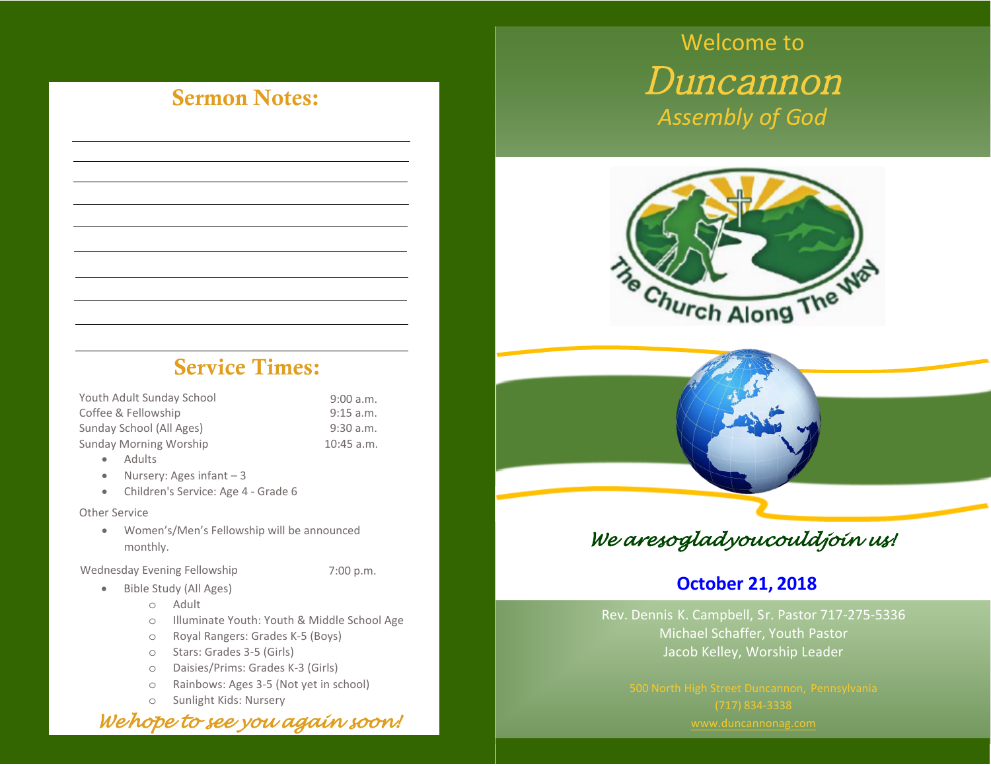# Sermon Notes:

# Service Times:

| Youth Adult Sunday School | 9:00 a.m.    |
|---------------------------|--------------|
| Coffee & Fellowship       | 9:15 a.m.    |
| Sunday School (All Ages)  | 9:30a.m.     |
| Sunday Morning Worship    | $10:45$ a.m. |

- Adults
- Nursery: Ages infant 3
- Children's Service: Age 4 Grade 6

#### Other Service

• Women's/Men's Fellowship will be announced monthly.

Wednesday Evening Fellowship

- Bible Study (All Ages)
	- o Adult
	- o Illuminate Youth: Youth & Middle School Age

7:00 p.m.

- o Royal Rangers: Grades K-5 (Boys)
- o Stars: Grades 3-5 (Girls)
- o Daisies/Prims: Grades K-3 (Girls)
- o Rainbows: Ages 3-5 (Not yet in school)
- o Sunlight Kids: Nursery

*We hope to see you again soon!*

# Welcome to Duncannon *Assembly of God*



## *<sup>W</sup>e are so glad you could join us!*

### **October 28, 2018**

Rev. Dennis [K. Campbell,](http://www.duncannonag.com/) Sr. Pastor 717-275-5336 Michael Schaffer, Youth Pastor Jacob Kelley, Worship Leader